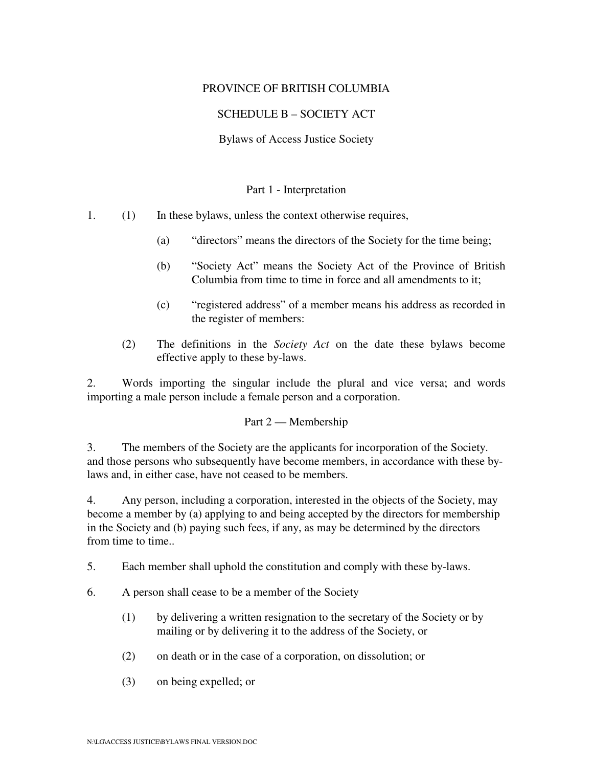# PROVINCE OF BRITISH COLUMBIA

# SCHEDULE B – SOCIETY ACT

Bylaws of Access Justice Society

#### Part 1 - Interpretation

1. (1) In these bylaws, unless the context otherwise requires,

- (a) "directors" means the directors of the Society for the time being;
- (b) "Society Act" means the Society Act of the Province of British Columbia from time to time in force and all amendments to it;
- (c) "registered address" of a member means his address as recorded in the register of members:
- (2) The definitions in the *Society Act* on the date these bylaws become effective apply to these by-laws.

2. Words importing the singular include the plural and vice versa; and words importing a male person include a female person and a corporation.

#### Part 2 — Membership

3. The members of the Society are the applicants for incorporation of the Society. and those persons who subsequently have become members, in accordance with these bylaws and, in either case, have not ceased to be members.

4. Any person, including a corporation, interested in the objects of the Society, may become a member by (a) applying to and being accepted by the directors for membership in the Society and (b) paying such fees, if any, as may be determined by the directors from time to time..

5. Each member shall uphold the constitution and comply with these by-laws.

- 6. A person shall cease to be a member of the Society
	- (1) by delivering a written resignation to the secretary of the Society or by mailing or by delivering it to the address of the Society, or
	- (2) on death or in the case of a corporation, on dissolution; or
	- (3) on being expelled; or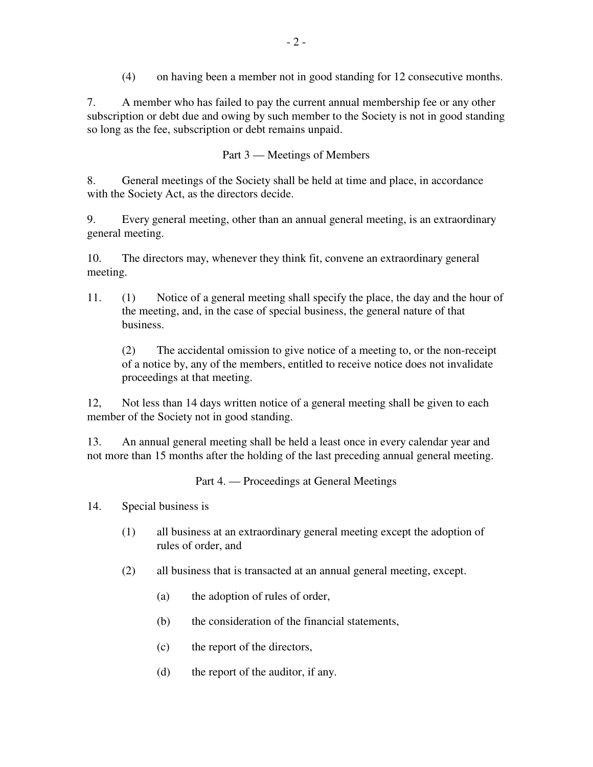(4) on having been a member not in good standing for 12 consecutive months.

7. A member who has failed to pay the current annual membership fee or any other subscription or debt due and owing by such member to the Society is not in good standing so long as the fee, subscription or debt remains unpaid.

Part 3 — Meetings of Members

8. General meetings of the Society shall be held at time and place, in accordance with the Society Act, as the directors decide.

9. Every general meeting, other than an annual general meeting, is an extraordinary general meeting.

10. The directors may, whenever they think fit, convene an extraordinary general meeting.

11. (1) Notice of a general meeting shall specify the place, the day and the hour of the meeting, and, in the case of special business, the general nature of that business.

(2) The accidental omission to give notice of a meeting to, or the non-receipt of a notice by, any of the members, entitled to receive notice does not invalidate proceedings at that meeting.

12, Not less than 14 days written notice of a general meeting shall be given to each member of the Society not in good standing.

13. An annual general meeting shall be held a least once in every calendar year and not more than 15 months after the holding of the last preceding annual general meeting.

Part 4. — Proceedings at General Meetings

14. Special business is

- (1) all business at an extraordinary general meeting except the adoption of rules of order, and
- (2) all business that is transacted at an annual general meeting, except.
	- (a) the adoption of rules of order,
	- (b) the consideration of the financial statements,
	- (c) the report of the directors,
	- (d) the report of the auditor, if any.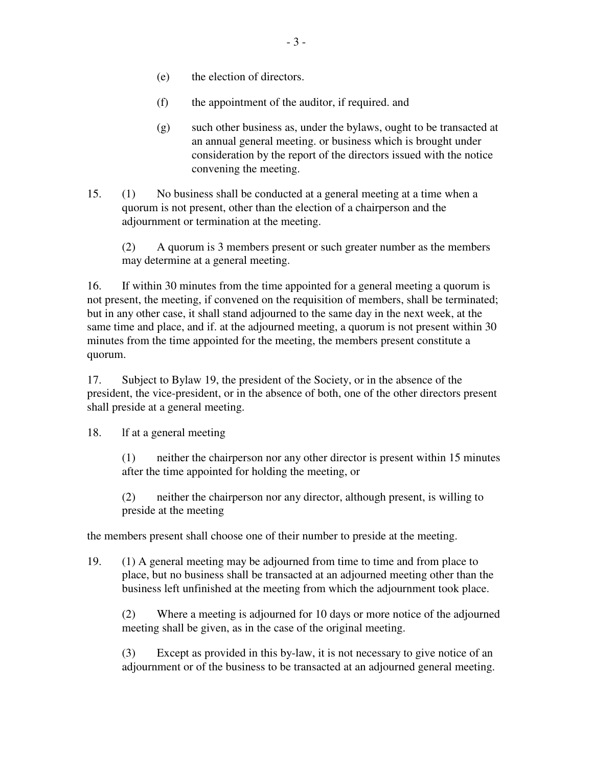- (e) the election of directors.
- (f) the appointment of the auditor, if required. and
- (g) such other business as, under the bylaws, ought to be transacted at an annual general meeting. or business which is brought under consideration by the report of the directors issued with the notice convening the meeting.
- 15. (1) No business shall be conducted at a general meeting at a time when a quorum is not present, other than the election of a chairperson and the adjournment or termination at the meeting.

(2) A quorum is 3 members present or such greater number as the members may determine at a general meeting.

16. If within 30 minutes from the time appointed for a general meeting a quorum is not present, the meeting, if convened on the requisition of members, shall be terminated; but in any other case, it shall stand adjourned to the same day in the next week, at the same time and place, and if. at the adjourned meeting, a quorum is not present within 30 minutes from the time appointed for the meeting, the members present constitute a quorum.

17. Subject to Bylaw 19, the president of the Society, or in the absence of the president, the vice-president, or in the absence of both, one of the other directors present shall preside at a general meeting.

18. lf at a general meeting

(1) neither the chairperson nor any other director is present within 15 minutes after the time appointed for holding the meeting, or

(2) neither the chairperson nor any director, although present, is willing to preside at the meeting

the members present shall choose one of their number to preside at the meeting.

19. (1) A general meeting may be adjourned from time to time and from place to place, but no business shall be transacted at an adjourned meeting other than the business left unfinished at the meeting from which the adjournment took place.

(2) Where a meeting is adjourned for 10 days or more notice of the adjourned meeting shall be given, as in the case of the original meeting.

(3) Except as provided in this by-law, it is not necessary to give notice of an adjournment or of the business to be transacted at an adjourned general meeting.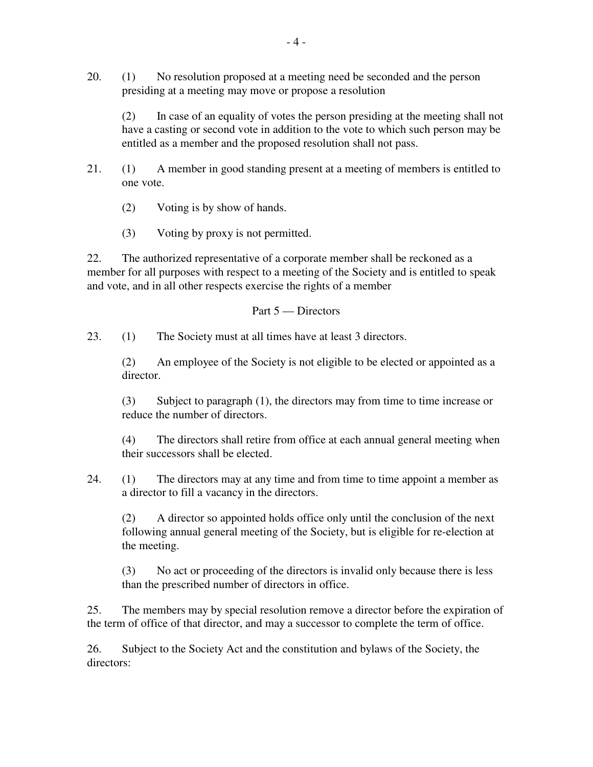20. (1) No resolution proposed at a meeting need be seconded and the person presiding at a meeting may move or propose a resolution

(2) In case of an equality of votes the person presiding at the meeting shall not have a casting or second vote in addition to the vote to which such person may be entitled as a member and the proposed resolution shall not pass.

- 21. (1) A member in good standing present at a meeting of members is entitled to one vote.
	- (2) Voting is by show of hands.
	- (3) Voting by proxy is not permitted.

22. The authorized representative of a corporate member shall be reckoned as a member for all purposes with respect to a meeting of the Society and is entitled to speak and vote, and in all other respects exercise the rights of a member

## Part 5 — Directors

23. (1) The Society must at all times have at least 3 directors.

(2) An employee of the Society is not eligible to be elected or appointed as a director.

(3) Subject to paragraph (1), the directors may from time to time increase or reduce the number of directors.

(4) The directors shall retire from office at each annual general meeting when their successors shall be elected.

24. (1) The directors may at any time and from time to time appoint a member as a director to fill a vacancy in the directors.

(2) A director so appointed holds office only until the conclusion of the next following annual general meeting of the Society, but is eligible for re-election at the meeting.

(3) No act or proceeding of the directors is invalid only because there is less than the prescribed number of directors in office.

25. The members may by special resolution remove a director before the expiration of the term of office of that director, and may a successor to complete the term of office.

26. Subject to the Society Act and the constitution and bylaws of the Society, the directors: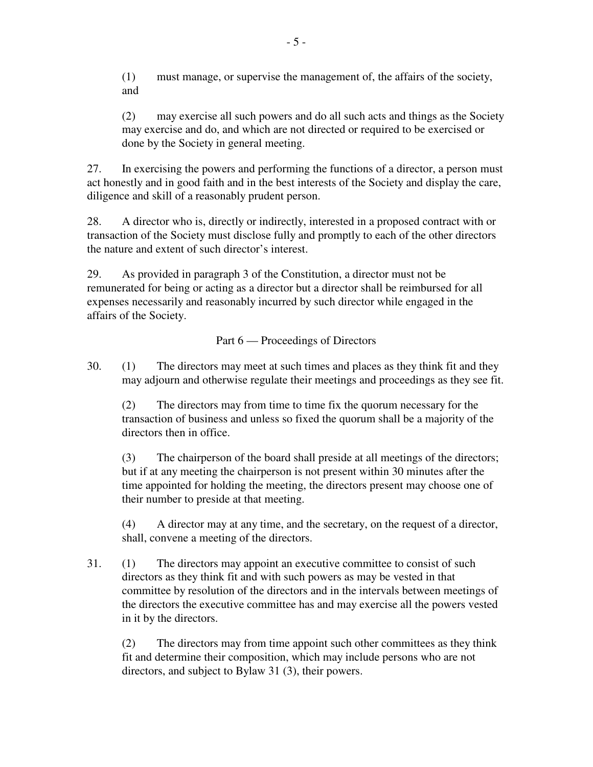(1) must manage, or supervise the management of, the affairs of the society, and

(2) may exercise all such powers and do all such acts and things as the Society may exercise and do, and which are not directed or required to be exercised or done by the Society in general meeting.

27. In exercising the powers and performing the functions of a director, a person must act honestly and in good faith and in the best interests of the Society and display the care, diligence and skill of a reasonably prudent person.

28. A director who is, directly or indirectly, interested in a proposed contract with or transaction of the Society must disclose fully and promptly to each of the other directors the nature and extent of such director's interest.

29. As provided in paragraph 3 of the Constitution, a director must not be remunerated for being or acting as a director but a director shall be reimbursed for all expenses necessarily and reasonably incurred by such director while engaged in the affairs of the Society.

Part 6 — Proceedings of Directors

30. (1) The directors may meet at such times and places as they think fit and they may adjourn and otherwise regulate their meetings and proceedings as they see fit.

(2) The directors may from time to time fix the quorum necessary for the transaction of business and unless so fixed the quorum shall be a majority of the directors then in office.

(3) The chairperson of the board shall preside at all meetings of the directors; but if at any meeting the chairperson is not present within 30 minutes after the time appointed for holding the meeting, the directors present may choose one of their number to preside at that meeting.

(4) A director may at any time, and the secretary, on the request of a director, shall, convene a meeting of the directors.

31. (1) The directors may appoint an executive committee to consist of such directors as they think fit and with such powers as may be vested in that committee by resolution of the directors and in the intervals between meetings of the directors the executive committee has and may exercise all the powers vested in it by the directors.

(2) The directors may from time appoint such other committees as they think fit and determine their composition, which may include persons who are not directors, and subject to Bylaw 31 (3), their powers.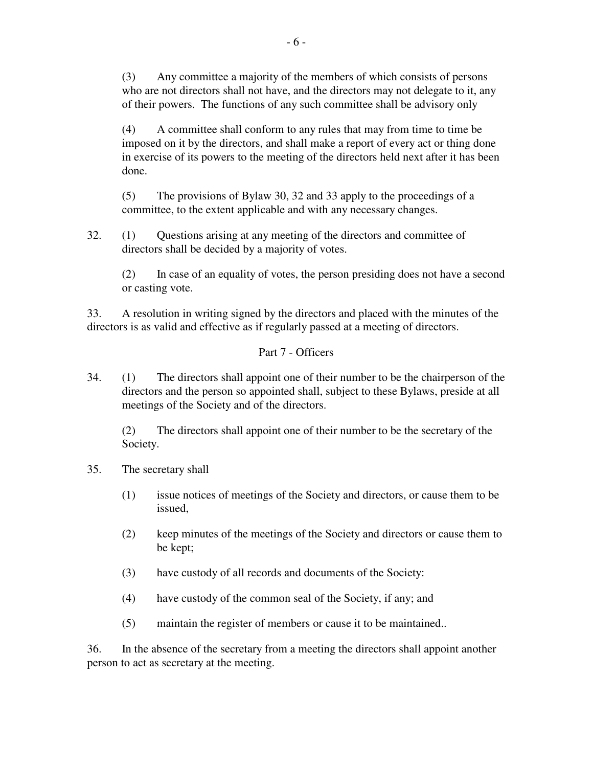(3) Any committee a majority of the members of which consists of persons who are not directors shall not have, and the directors may not delegate to it, any of their powers. The functions of any such committee shall be advisory only

(4) A committee shall conform to any rules that may from time to time be imposed on it by the directors, and shall make a report of every act or thing done in exercise of its powers to the meeting of the directors held next after it has been done.

(5) The provisions of Bylaw 30, 32 and 33 apply to the proceedings of a committee, to the extent applicable and with any necessary changes.

32. (1) Questions arising at any meeting of the directors and committee of directors shall be decided by a majority of votes.

(2) In case of an equality of votes, the person presiding does not have a second or casting vote.

33. A resolution in writing signed by the directors and placed with the minutes of the directors is as valid and effective as if regularly passed at a meeting of directors.

Part 7 - Officers

34. (1) The directors shall appoint one of their number to be the chairperson of the directors and the person so appointed shall, subject to these Bylaws, preside at all meetings of the Society and of the directors.

(2) The directors shall appoint one of their number to be the secretary of the Society.

- 35. The secretary shall
	- (1) issue notices of meetings of the Society and directors, or cause them to be issued,
	- (2) keep minutes of the meetings of the Society and directors or cause them to be kept;
	- (3) have custody of all records and documents of the Society:
	- (4) have custody of the common seal of the Society, if any; and
	- (5) maintain the register of members or cause it to be maintained..

36. In the absence of the secretary from a meeting the directors shall appoint another person to act as secretary at the meeting.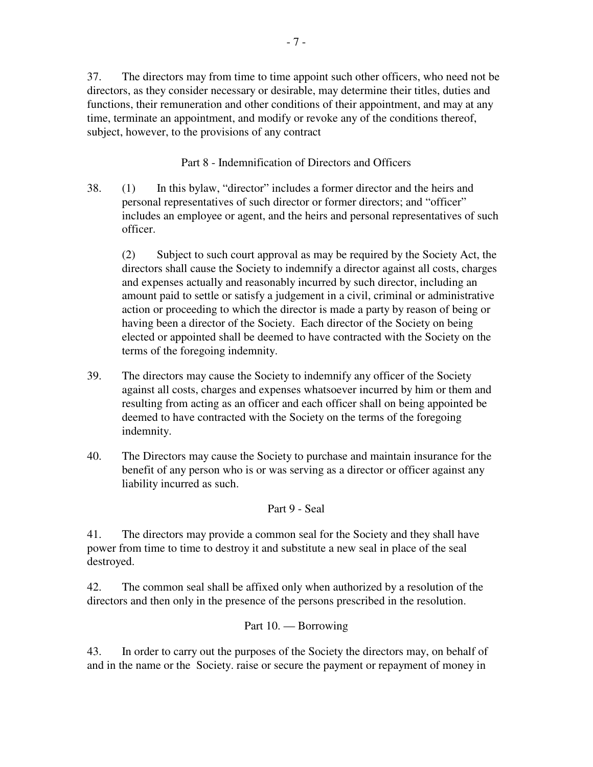37. The directors may from time to time appoint such other officers, who need not be directors, as they consider necessary or desirable, may determine their titles, duties and functions, their remuneration and other conditions of their appointment, and may at any time, terminate an appointment, and modify or revoke any of the conditions thereof, subject, however, to the provisions of any contract

Part 8 - Indemnification of Directors and Officers

38. (1) In this bylaw, "director" includes a former director and the heirs and personal representatives of such director or former directors; and "officer" includes an employee or agent, and the heirs and personal representatives of such officer.

(2) Subject to such court approval as may be required by the Society Act, the directors shall cause the Society to indemnify a director against all costs, charges and expenses actually and reasonably incurred by such director, including an amount paid to settle or satisfy a judgement in a civil, criminal or administrative action or proceeding to which the director is made a party by reason of being or having been a director of the Society. Each director of the Society on being elected or appointed shall be deemed to have contracted with the Society on the terms of the foregoing indemnity.

- 39. The directors may cause the Society to indemnify any officer of the Society against all costs, charges and expenses whatsoever incurred by him or them and resulting from acting as an officer and each officer shall on being appointed be deemed to have contracted with the Society on the terms of the foregoing indemnity.
- 40. The Directors may cause the Society to purchase and maintain insurance for the benefit of any person who is or was serving as a director or officer against any liability incurred as such.

Part 9 - Seal

41. The directors may provide a common seal for the Society and they shall have power from time to time to destroy it and substitute a new seal in place of the seal destroyed.

42. The common seal shall be affixed only when authorized by a resolution of the directors and then only in the presence of the persons prescribed in the resolution.

# Part 10. — Borrowing

43. In order to carry out the purposes of the Society the directors may, on behalf of and in the name or the Society. raise or secure the payment or repayment of money in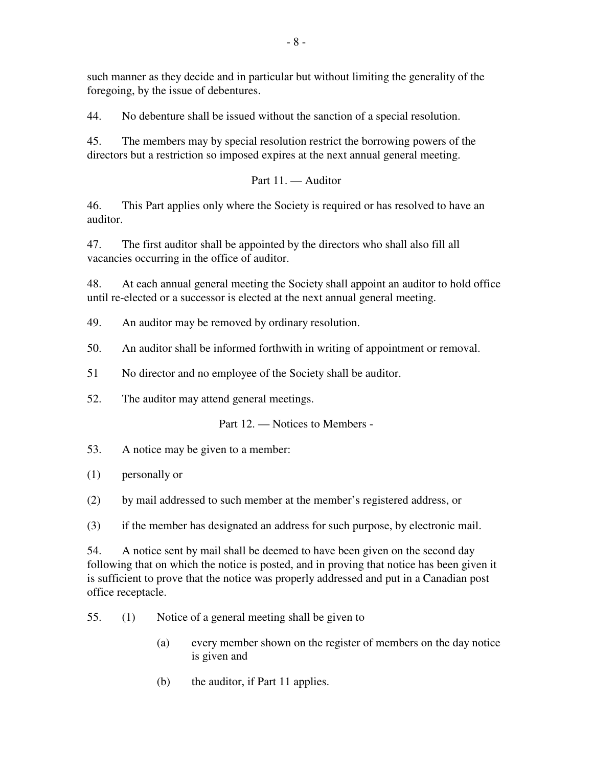such manner as they decide and in particular but without limiting the generality of the foregoing, by the issue of debentures.

44. No debenture shall be issued without the sanction of a special resolution.

45. The members may by special resolution restrict the borrowing powers of the directors but a restriction so imposed expires at the next annual general meeting.

Part 11. — Auditor

46. This Part applies only where the Society is required or has resolved to have an auditor.

47. The first auditor shall be appointed by the directors who shall also fill all vacancies occurring in the office of auditor.

48. At each annual general meeting the Society shall appoint an auditor to hold office until re-elected or a successor is elected at the next annual general meeting.

49. An auditor may be removed by ordinary resolution.

50. An auditor shall be informed forthwith in writing of appointment or removal.

51 No director and no employee of the Society shall be auditor.

52. The auditor may attend general meetings.

Part 12. — Notices to Members -

53. A notice may be given to a member:

(1) personally or

(2) by mail addressed to such member at the member's registered address, or

(3) if the member has designated an address for such purpose, by electronic mail.

54. A notice sent by mail shall be deemed to have been given on the second day following that on which the notice is posted, and in proving that notice has been given it is sufficient to prove that the notice was properly addressed and put in a Canadian post office receptacle.

55. (1) Notice of a general meeting shall be given to

- (a) every member shown on the register of members on the day notice is given and
- (b) the auditor, if Part 11 applies.